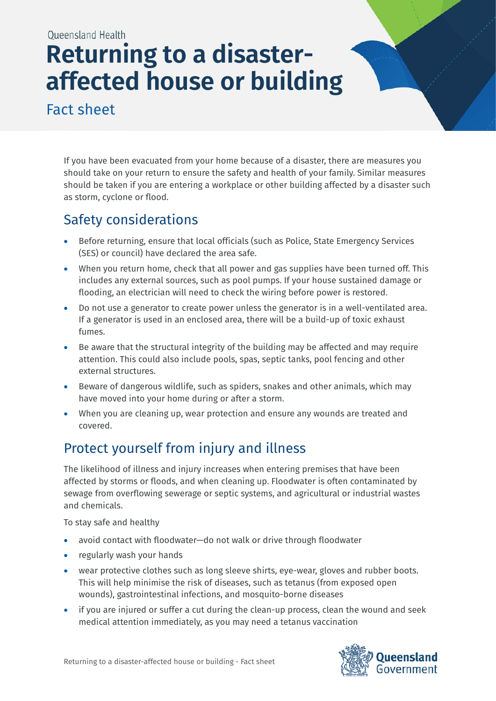Oueensland Health

# **Returning to a disasteraffected house or building**

Fact sheet

If you have been evacuated from your home because of a disaster, there are measures you should take on your return to ensure the safety and health of your family. Similar measures should be taken if you are entering a workplace or other building affected by a disaster such as storm, cyclone or flood.

# Safety considerations

- Before returning, ensure that local officials (such as Police, State Emergency Services (SES) or council) have declared the area safe.
- When you return home, check that all power and gas supplies have been turned off. This includes any external sources, such as pool pumps. If your house sustained damage or flooding, an electrician will need to check the wiring before power is restored.
- Do not use a generator to create power unless the generator is in a well-ventilated area. If a generator is used in an enclosed area, there will be a build-up of toxic exhaust fumes.
- Be aware that the structural integrity of the building may be affected and may require attention. This could also include pools, spas, septic tanks, pool fencing and other external structures.
- Beware of dangerous wildlife, such as spiders, snakes and other animals, which may have moved into your home during or after a storm.
- When you are cleaning up, wear protection and ensure any wounds are treated and covered.

# Protect yourself from injury and illness

The likelihood of illness and injury increases when entering premises that have been affected by storms or floods, and when cleaning up. Floodwater is often contaminated by sewage from overflowing sewerage or septic systems, and agricultural or industrial wastes and chemicals.

To stay safe and healthy

- avoid contact with floodwater—do not walk or drive through floodwater
- regularly wash your hands
- wear protective clothes such as long sleeve shirts, eye-wear, gloves and rubber boots. This will help minimise the risk of diseases, such as tetanus (from exposed open wounds), gastrointestinal infections, and mosquito-borne diseases
- if you are injured or suffer a cut during the clean-up process, clean the wound and seek medical attention immediately, as you may need a tetanus vaccination

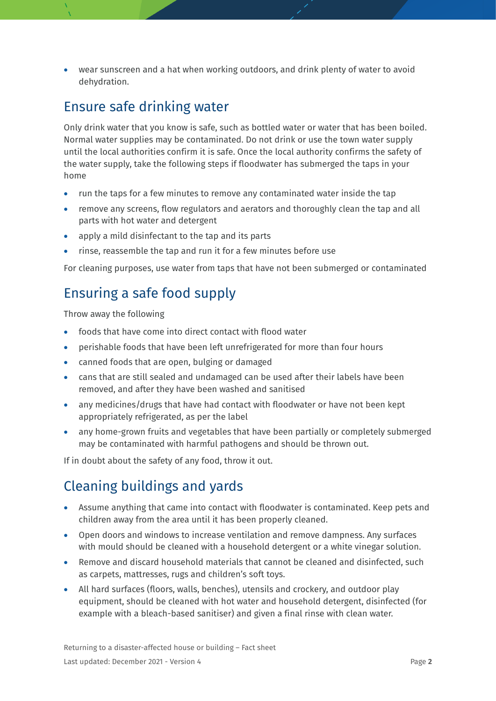• wear sunscreen and a hat when working outdoors, and drink plenty of water to avoid dehydration.

#### Ensure safe drinking water

Only drink water that you know is safe, such as bottled water or water that has been boiled. Normal water supplies may be contaminated. Do not drink or use the town water supply until the local authorities confirm it is safe. Once the local authority confirms the safety of the water supply, take the following steps if floodwater has submerged the taps in your home

- run the taps for a few minutes to remove any contaminated water inside the tap
- remove any screens, flow regulators and aerators and thoroughly clean the tap and all parts with hot water and detergent
- apply a mild disinfectant to the tap and its parts
- rinse, reassemble the tap and run it for a few minutes before use

For cleaning purposes, use water from taps that have not been submerged or contaminated

## Ensuring a safe food supply

Throw away the following

- foods that have come into direct contact with flood water
- perishable foods that have been left unrefrigerated for more than four hours
- canned foods that are open, bulging or damaged
- cans that are still sealed and undamaged can be used after their labels have been removed, and after they have been washed and sanitised
- any medicines/drugs that have had contact with floodwater or have not been kept appropriately refrigerated, as per the label
- any home-grown fruits and vegetables that have been partially or completely submerged may be contaminated with harmful pathogens and should be thrown out.

If in doubt about the safety of any food, throw it out.

# Cleaning buildings and yards

- Assume anything that came into contact with floodwater is contaminated. Keep pets and children away from the area until it has been properly cleaned.
- Open doors and windows to increase ventilation and remove dampness. Any surfaces with mould should be cleaned with a household detergent or a white vinegar solution.
- Remove and discard household materials that cannot be cleaned and disinfected, such as carpets, mattresses, rugs and children's soft toys.
- All hard surfaces (floors, walls, benches), utensils and crockery, and outdoor play equipment, should be cleaned with hot water and household detergent, disinfected (for example with a bleach-based sanitiser) and given a final rinse with clean water.